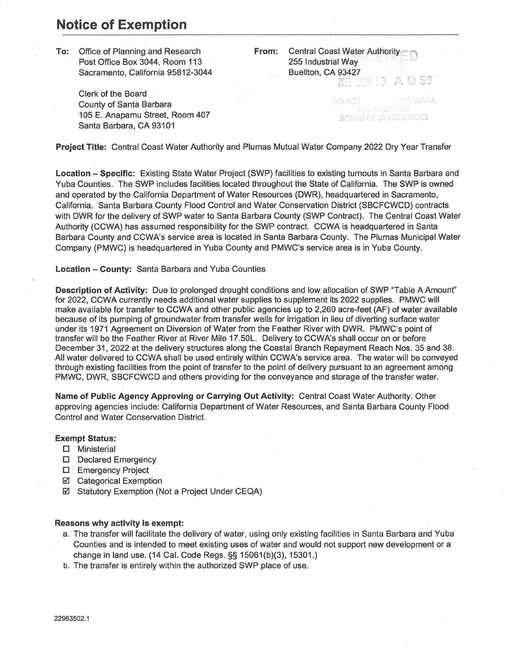## **Notice of Exemption**

**To:** Office of Planning and Research Post Office Box 3044, Room 113 Sacramento, California 95812-3044

> Clerk of the Board County of Santa Barbara 105 E. Anaparnu Street, Room 407 Santa Barbara, CA 93101

**From:** Central Coast Water Authority 255 Industrial Way Buellton, CA 93427 9342<br>[||] *A* 10:58 13.

> BARBARA COUNT BOARD OF SUPERVISORS

**Project Title:** Central Coast Water Authority and Plumas Mutual Water Company 2022 Dry Year Transfer

**Location - Specific:** Existing State Water Project (SWP) facilities to existing turnouts in Santa Barbara and Yuba Counties. The SWP includes facilities located throughout the State of California. The SWP is owned and operated by the California Department of Water Resources (DWR), headquartered in Sacramento, California. Santa Barbara County Flood Control and Water Conservation District (SBCFCWCD) contracts with DWR for the delivery of SWP water to Santa Barbara County (SWP Contract). The Central Coast Water Authority (CCWA) has assumed responsibility for the SWP contract. CCWA is headquartered in Santa Barbara County and CCWA's service area is located in Santa Barbara County. The Plumas Municipal Water Company (PMWC) is headquartered in Yuba County and PMWC's service area is in Yuba County.

**Location - County:** Santa Barbara and Yuba Counties

**Description of Activity:** Due to prolonged drought conditions and low allocation of SWP "Table A Amount" for 2022, CCWA currently needs additional water supplies to supplement its 2022 supplies. PMWC will make available for transfer to CCWA and other public agencies up to 2,260 acre-feet (AF) of water available because of its pumping of groundwater from transfer wells for irrigation in lieu of diverting surface water under its 1971 Agreement on Diversion of Water from the Feather River with DWR. PMWC's point of transfer will be the Feather River at River Mile 17.50L. Delivery to CCWA's shall occur on or before December 31, 2022 at the delivery structures along the Coastal Branch Repayment Reach Nos. 35 and 38. All water delivered to CCWA shall be used entirely within CCWA's service area. The water will be conveyed through existing facilities from the point of transfer to the point of delivery pursuant to an agreement among PMWC, DWR, SBCFCWCD and others providing for the conveyance and storage of the transfer water.

**Name of Public Agency Approving or Carrying Out Activity:** Central Coast Water Authority. Other approving agencies include: California Department of Water Resources, and Santa Barbara County Flood Control and Water Conservation District.

## **Exempt Status:**

- O Ministerial
- D Declared Emergency
- O Emergency Project
- Categorical Exemption
- Statutory Exemption (Not a Project Under CEQA)

## **Reasons why activity is exempt:**

- a. The transfer will facilitate the delivery of water, using only existing facilities in Santa Barbara and Yuba Counties and is intended to meet existing uses of water and would not support new development or a change in land use. (14 Cal. Code Regs.§§ 15061(b)(3), 15301.)
- b. The transfer is entirely within the authorized SWP place of use.